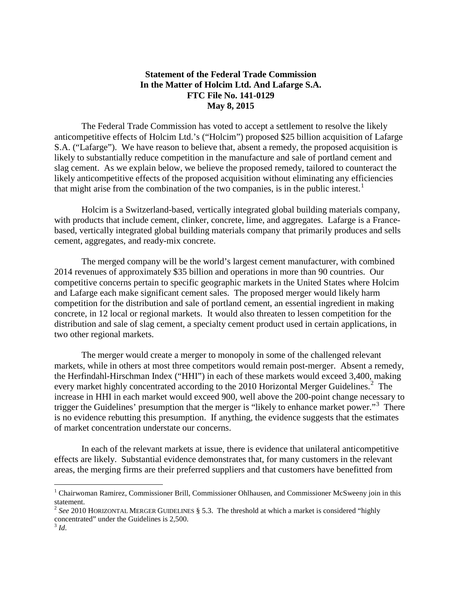## **Statement of the Federal Trade Commission In the Matter of Holcim Ltd. And Lafarge S.A. FTC File No. 141-0129 May 8, 2015**

The Federal Trade Commission has voted to accept a settlement to resolve the likely anticompetitive effects of Holcim Ltd.'s ("Holcim") proposed \$25 billion acquisition of Lafarge S.A. ("Lafarge"). We have reason to believe that, absent a remedy, the proposed acquisition is likely to substantially reduce competition in the manufacture and sale of portland cement and slag cement. As we explain below, we believe the proposed remedy, tailored to counteract the likely anticompetitive effects of the proposed acquisition without eliminating any efficiencies that might arise from the combination of the two companies, is in the public interest.<sup>[1](#page-0-0)</sup>

Holcim is a Switzerland-based, vertically integrated global building materials company, with products that include cement, clinker, concrete, lime, and aggregates. Lafarge is a Francebased, vertically integrated global building materials company that primarily produces and sells cement, aggregates, and ready-mix concrete.

The merged company will be the world's largest cement manufacturer, with combined 2014 revenues of approximately \$35 billion and operations in more than 90 countries. Our competitive concerns pertain to specific geographic markets in the United States where Holcim and Lafarge each make significant cement sales. The proposed merger would likely harm competition for the distribution and sale of portland cement, an essential ingredient in making concrete, in 12 local or regional markets. It would also threaten to lessen competition for the distribution and sale of slag cement, a specialty cement product used in certain applications, in two other regional markets.

The merger would create a merger to monopoly in some of the challenged relevant markets, while in others at most three competitors would remain post-merger. Absent a remedy, the Herfindahl-Hirschman Index ("HHI") in each of these markets would exceed 3,400, making every market highly concentrated according to the [2](#page-0-1)010 Horizontal Merger Guidelines. $2$  The increase in HHI in each market would exceed 900, well above the 200-point change necessary to trigger the Guidelines' presumption that the merger is "likely to enhance market power."<sup>[3](#page-0-2)</sup> There is no evidence rebutting this presumption. If anything, the evidence suggests that the estimates of market concentration understate our concerns.

In each of the relevant markets at issue, there is evidence that unilateral anticompetitive effects are likely. Substantial evidence demonstrates that, for many customers in the relevant areas, the merging firms are their preferred suppliers and that customers have benefitted from

<span id="page-0-0"></span><sup>&</sup>lt;sup>1</sup> Chairwoman Ramirez, Commissioner Brill, Commissioner Ohlhausen, and Commissioner McSweeny join in this statement.

<span id="page-0-1"></span><sup>2</sup> *See* 2010 HORIZONTAL MERGER GUIDELINES § 5.3. The threshold at which a market is considered "highly concentrated" under the Guidelines is 2,500.

<span id="page-0-2"></span> $3$  *Id.*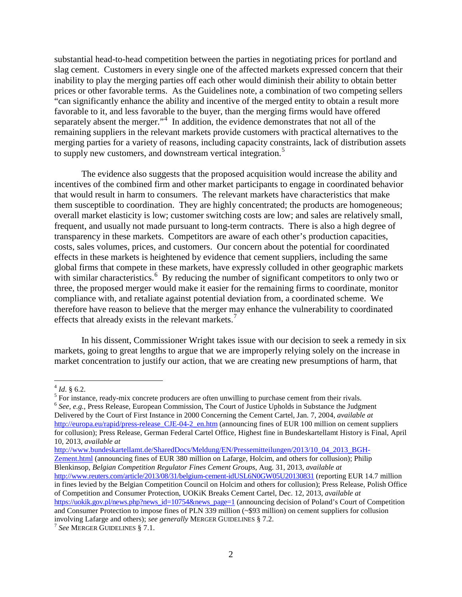substantial head-to-head competition between the parties in negotiating prices for portland and slag cement. Customers in every single one of the affected markets expressed concern that their inability to play the merging parties off each other would diminish their ability to obtain better prices or other favorable terms. As the Guidelines note, a combination of two competing sellers "can significantly enhance the ability and incentive of the merged entity to obtain a result more favorable to it, and less favorable to the buyer, than the merging firms would have offered separately absent the merger."<sup>[4](#page-1-0)</sup> In addition, the evidence demonstrates that not all of the remaining suppliers in the relevant markets provide customers with practical alternatives to the merging parties for a variety of reasons, including capacity constraints, lack of distribution assets to supply new customers, and downstream vertical integration.<sup>[5](#page-1-1)</sup>

The evidence also suggests that the proposed acquisition would increase the ability and incentives of the combined firm and other market participants to engage in coordinated behavior that would result in harm to consumers. The relevant markets have characteristics that make them susceptible to coordination. They are highly concentrated; the products are homogeneous; overall market elasticity is low; customer switching costs are low; and sales are relatively small, frequent, and usually not made pursuant to long-term contracts. There is also a high degree of transparency in these markets. Competitors are aware of each other's production capacities, costs, sales volumes, prices, and customers. Our concern about the potential for coordinated effects in these markets is heightened by evidence that cement suppliers, including the same global firms that compete in these markets, have expressly colluded in other geographic markets with similar characteristics.<sup>[6](#page-1-2)</sup> By reducing the number of significant competitors to only two or three, the proposed merger would make it easier for the remaining firms to coordinate, monitor compliance with, and retaliate against potential deviation from, a coordinated scheme. We therefore have reason to believe that the merger may enhance the vulnerability to coordinated effects that already exists in the relevant markets.<sup>[7](#page-1-3)</sup>

In his dissent, Commissioner Wright takes issue with our decision to seek a remedy in six markets, going to great lengths to argue that we are improperly relying solely on the increase in market concentration to justify our action, that we are creating new presumptions of harm, that

[http://www.bundeskartellamt.de/SharedDocs/Meldung/EN/Pressemitteilungen/2013/10\\_04\\_2013\\_BGH-](http://www.bundeskartellamt.de/SharedDocs/Meldung/EN/Pressemitteilungen/2013/10_04_2013_BGH-Zement.html)[Zement.html](http://www.bundeskartellamt.de/SharedDocs/Meldung/EN/Pressemitteilungen/2013/10_04_2013_BGH-Zement.html) (announcing fines of EUR 380 million on Lafarge, Holcim, and others for collusion); Philip Blenkinsop, *Belgian Competition Regulator Fines Cement Groups*, Aug. 31, 2013, *available at*  <http://www.reuters.com/article/2013/08/31/belgium-cement-idUSL6N0GW05U20130831> (reporting EUR 14.7 million in fines levied by the Belgian Competition Council on Holcim and others for collusion); Press Release, Polish Office of Competition and Consumer Protection, UOKiK Breaks Cement Cartel, Dec. 12, 2013, *available at*  [https://uokik.gov.pl/news.php?news\\_id=10754&news\\_page=1](https://uokik.gov.pl/news.php?news_id=10754&news_page=1) (announcing decision of Poland's Court of Competition

<span id="page-1-1"></span><span id="page-1-0"></span><sup>&</sup>lt;sup>4</sup> *Id.* § 6.2.<br><sup>5</sup> For instance, ready-mix concrete producers are often unwilling to purchase cement from their rivals.<br><sup>6</sup> See, e.g., Press Release, European Commission, The Court of Justice Upholds in Substance the Ju

<span id="page-1-2"></span>Delivered by the Court of First Instance in 2000 Concerning the Cement Cartel, Jan. 7, 2004, *available at*  [http://europa.eu/rapid/press-release\\_CJE-04-2\\_en.htm](http://europa.eu/rapid/press-release_CJE-04-2_en.htm) (announcing fines of EUR 100 million on cement suppliers for collusion); Press Release, German Federal Cartel Office, Highest fine in Bundeskartellamt History is Final, April 10, 2013, *available at* 

and Consumer Protection to impose fines of PLN 339 million (~\$93 million) on cement suppliers for collusion involving Lafarge and others); *see generally* MERGER GUIDELINES § 7.2. <sup>7</sup> *See* MERGER GUIDELINES § 7.1.

<span id="page-1-3"></span>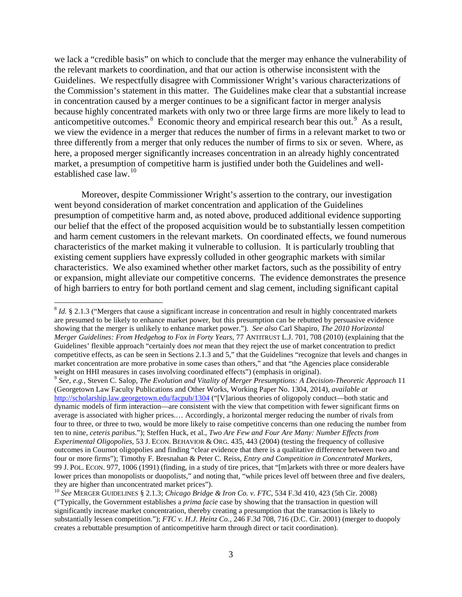we lack a "credible basis" on which to conclude that the merger may enhance the vulnerability of the relevant markets to coordination, and that our action is otherwise inconsistent with the Guidelines. We respectfully disagree with Commissioner Wright's various characterizations of the Commission's statement in this matter. The Guidelines make clear that a substantial increase in concentration caused by a merger continues to be a significant factor in merger analysis because highly concentrated markets with only two or three large firms are more likely to lead to anticompetitive outcomes.<sup>[8](#page-2-0)</sup> Economic theory and empirical research bear this out.<sup>[9](#page-2-1)</sup> As a result, we view the evidence in a merger that reduces the number of firms in a relevant market to two or three differently from a merger that only reduces the number of firms to six or seven. Where, as here, a proposed merger significantly increases concentration in an already highly concentrated market, a presumption of competitive harm is justified under both the Guidelines and wellestablished case law.<sup>10</sup>

Moreover, despite Commissioner Wright's assertion to the contrary, our investigation went beyond consideration of market concentration and application of the Guidelines presumption of competitive harm and, as noted above, produced additional evidence supporting our belief that the effect of the proposed acquisition would be to substantially lessen competition and harm cement customers in the relevant markets. On coordinated effects, we found numerous characteristics of the market making it vulnerable to collusion. It is particularly troubling that existing cement suppliers have expressly colluded in other geographic markets with similar characteristics. We also examined whether other market factors, such as the possibility of entry or expansion, might alleviate our competitive concerns. The evidence demonstrates the presence of high barriers to entry for both portland cement and slag cement, including significant capital

<span id="page-2-0"></span><sup>&</sup>lt;sup>8</sup> *Id.* § 2.1.3 ("Mergers that cause a significant increase in concentration and result in highly concentrated markets are presumed to be likely to enhance market power, but this presumption can be rebutted by persuasive evidence showing that the merger is unlikely to enhance market power."). *See also* Carl Shapiro, *The 2010 Horizontal Merger Guidelines: From Hedgehog to Fox in Forty Years*, 77 ANTITRUST L.J. 701, 708 (2010) (explaining that the Guidelines' flexible approach "certainly does *not* mean that they reject the use of market concentration to predict competitive effects, as can be seen in Sections 2.1.3 and 5," that the Guidelines "recognize that levels and changes in market concentration are more probative in some cases than others," and that "the Agencies place considerable weight on HHI measures in cases involving coordinated effects") (emphasis in original).<br><sup>9</sup> *See*, *e.g.*, Steven C. Salop, *The Evolution and Vitality of Merger Presumptions: A Decision-Theoretic Approach* 11

<span id="page-2-1"></span><sup>(</sup>Georgetown Law Faculty Publications and Other Works, Working Paper No. 1304, 2014), *available at*  <http://scholarship.law.georgetown.edu/facpub/1304> ("[V]arious theories of oligopoly conduct—both static and dynamic models of firm interaction—are consistent with the view that competition with fewer significant firms on average is associated with higher prices.… Accordingly, a horizontal merger reducing the number of rivals from four to three, or three to two, would be more likely to raise competitive concerns than one reducing the number from ten to nine, *ceteris paribus*."); Steffen Huck, et al., *Two Are Few and Four Are Many: Number Effects from Experimental Oligopolies*, 53 J. ECON. BEHAVIOR & ORG. 435, 443 (2004) (testing the frequency of collusive outcomes in Cournot oligopolies and finding "clear evidence that there is a qualitative difference between two and four or more firms"); Timothy F. Bresnahan & Peter C. Reiss, *Entry and Competition in Concentrated Markets*, 99 J. POL. ECON. 977, 1006 (1991) (finding, in a study of tire prices, that "[m]arkets with three or more dealers have lower prices than monopolists or duopolists," and noting that, "while prices level off between three and five dealers, they are higher than unconcentrated market prices").

<span id="page-2-2"></span><sup>10</sup> *See* MERGER GUIDELINES § 2.1.3; *Chicago Bridge & Iron Co. v. FTC*, 534 F.3d 410, 423 (5th Cir. 2008) ("Typically, the Government establishes a *prima facie* case by showing that the transaction in question will significantly increase market concentration, thereby creating a presumption that the transaction is likely to substantially lessen competition."); *FTC v. H.J. Heinz Co.*, 246 F.3d 708, 716 (D.C. Cir. 2001) (merger to duopoly creates a rebuttable presumption of anticompetitive harm through direct or tacit coordination).